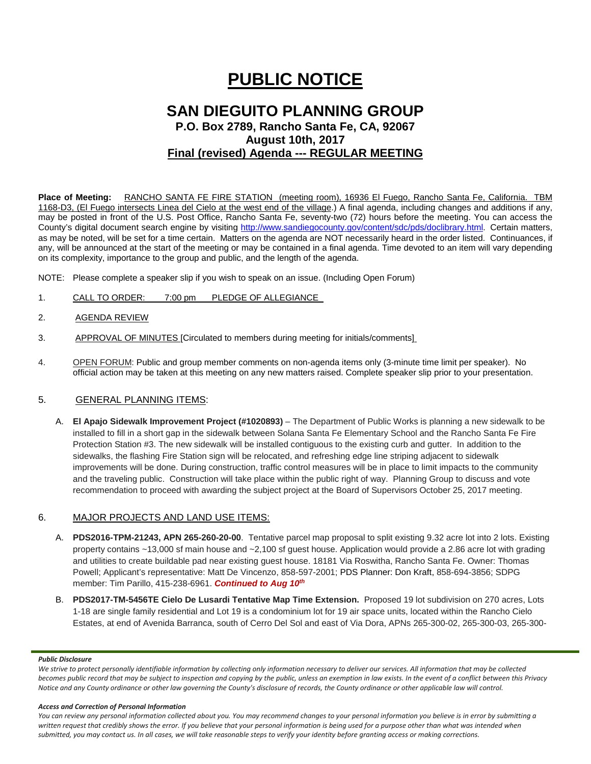# **PUBLIC NOTICE**

# **SAN DIEGUITO PLANNING GROUP P.O. Box 2789, Rancho Santa Fe, CA, 92067 August 10th, 2017 Final (revised) Agenda --- REGULAR MEETING**

**Place of Meeting:** RANCHO SANTA FE FIRE STATION (meeting room), 16936 El Fuego, Rancho Santa Fe, California. TBM 1168-D3, (El Fuego intersects Linea del Cielo at the west end of the village.) A final agenda, including changes and additions if any, may be posted in front of the U.S. Post Office, Rancho Santa Fe, seventy-two (72) hours before the meeting. You can access the County's digital document search engine by visiting<http://www.sandiegocounty.gov/content/sdc/pds/doclibrary.html>. Certain matters, as may be noted, will be set for a time certain. Matters on the agenda are NOT necessarily heard in the order listed. Continuances, if any, will be announced at the start of the meeting or may be contained in a final agenda. Time devoted to an item will vary depending on its complexity, importance to the group and public, and the length of the agenda.

NOTE: Please complete a speaker slip if you wish to speak on an issue. (Including Open Forum)

- 1. CALL TO ORDER: 7:00 pm PLEDGE OF ALLEGIANCE
- 2. AGENDA REVIEW
- 3. APPROVAL OF MINUTES [Circulated to members during meeting for initials/comments]
- 4. OPEN FORUM: Public and group member comments on non-agenda items only (3-minute time limit per speaker). No official action may be taken at this meeting on any new matters raised. Complete speaker slip prior to your presentation.

## 5. GENERAL PLANNING ITEMS:

A. **El Apajo Sidewalk Improvement Project (#1020893)** – The Department of Public Works is planning a new sidewalk to be installed to fill in a short gap in the sidewalk between Solana Santa Fe Elementary School and the Rancho Santa Fe Fire Protection Station #3. The new sidewalk will be installed contiguous to the existing curb and gutter. In addition to the sidewalks, the flashing Fire Station sign will be relocated, and refreshing edge line striping adjacent to sidewalk improvements will be done. During construction, traffic control measures will be in place to limit impacts to the community and the traveling public. Construction will take place within the public right of way. Planning Group to discuss and vote recommendation to proceed with awarding the subject project at the Board of Supervisors October 25, 2017 meeting.

## 6. MAJOR PROJECTS AND LAND USE ITEMS:

- A. **PDS2016-TPM-21243, APN 265-260-20-00**. Tentative parcel map proposal to split existing 9.32 acre lot into 2 lots. Existing property contains ~13,000 sf main house and ~2,100 sf guest house. Application would provide a 2.86 acre lot with grading and utilities to create buildable pad near existing guest house. 18181 Via Roswitha, Rancho Santa Fe. Owner: Thomas Powell; Applicant's representative: Matt De Vincenzo, 858-597-2001; PDS Planner: Don Kraft, 858-694-3856; SDPG member: Tim Parillo, [415-238-6961.](tel:415-238-6961) *Continued to Aug 10th*
- B. **PDS2017-TM-5456TE Cielo De Lusardi Tentative Map Time Extension.** Proposed 19 lot subdivision on 270 acres, Lots 1-18 are single family residential and Lot 19 is a condominium lot for 19 air space units, located within the Rancho Cielo Estates, at end of Avenida Barranca, south of Cerro Del Sol and east of Via Dora, APNs 265-300-02, 265-300-03, 265-300-

#### *Public Disclosure*

*We strive to protect personally identifiable information by collecting only information necessary to deliver our services. All information that may be collected becomes public record that may be subject to inspection and copying by the public, unless an exemption in law exists. In the event of a conflict between this Privacy Notice and any County ordinance or other law governing the County's disclosure of records, the County ordinance or other applicable law will control.*

#### *Access and Correction of Personal Information*

You can review any personal information collected about you. You may recommend changes to your personal information you believe is in error by submitting a written request that credibly shows the error. If you believe that your personal information is being used for a purpose other than what was intended when *submitted, you may contact us. In all cases, we will take reasonable steps to verify your identity before granting access or making corrections.*